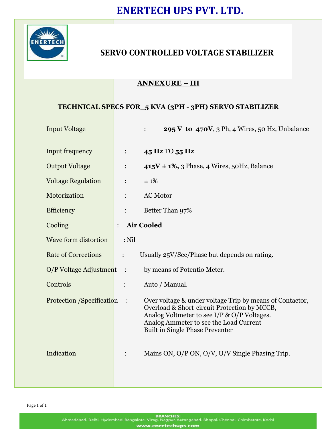

# **SERVO CONTROLLED VOLTAGE STABILIZER**

### **ANNEXURE – III**

### **TECHNICAL SPECS FOR\_5 KVA (3PH - 3PH) SERVO STABILIZER**

| <b>Input Voltage</b>       |         | <b>295 V to 470V</b> , 3 Ph, 4 Wires, 50 Hz, Unbalance                                                                                                                                                                                      |
|----------------------------|---------|---------------------------------------------------------------------------------------------------------------------------------------------------------------------------------------------------------------------------------------------|
| <b>Input frequency</b>     |         | 45 Hz TO 55 Hz                                                                                                                                                                                                                              |
| <b>Output Voltage</b>      |         | $415V \pm 1\%, 3$ Phase, 4 Wires, 50Hz, Balance                                                                                                                                                                                             |
| <b>Voltage Regulation</b>  |         | $\pm$ 1%                                                                                                                                                                                                                                    |
| Motorization               |         | <b>AC Motor</b>                                                                                                                                                                                                                             |
| Efficiency                 |         | Better Than 97%                                                                                                                                                                                                                             |
| Cooling                    |         | <b>Air Cooled</b>                                                                                                                                                                                                                           |
| Wave form distortion       | $:$ Nil |                                                                                                                                                                                                                                             |
| <b>Rate of Corrections</b> |         | Usually $25V/Sec/Phase$ but depends on rating.                                                                                                                                                                                              |
| O/P Voltage Adjustment :   |         | by means of Potentio Meter.                                                                                                                                                                                                                 |
| Controls                   |         | Auto / Manual.                                                                                                                                                                                                                              |
| Protection /Specification  |         | Over voltage & under voltage Trip by means of Contactor,<br>Overload & Short-circuit Protection by MCCB,<br>Analog Voltmeter to see I/P & O/P Voltages.<br>Analog Ammeter to see the Load Current<br><b>Built in Single Phase Preventer</b> |
| Indication                 |         | Mains ON, O/P ON, O/V, U/V Single Phasing Trip.                                                                                                                                                                                             |